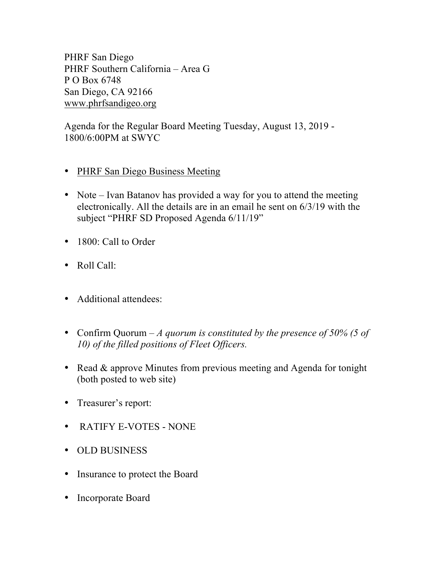PHRF San Diego PHRF Southern California – Area G P O Box 6748 San Diego, CA 92166 www.phrfsandigeo.org

Agenda for the Regular Board Meeting Tuesday, August 13, 2019 - 1800/6:00PM at SWYC

- PHRF San Diego Business Meeting
- Note Ivan Batanov has provided a way for you to attend the meeting electronically. All the details are in an email he sent on 6/3/19 with the subject "PHRF SD Proposed Agenda 6/11/19"
- 1800: Call to Order
- Roll Call:
- Additional attendees:
- Confirm Quorum *A quorum is constituted by the presence of 50% (5 of 10) of the filled positions of Fleet Officers.*
- Read & approve Minutes from previous meeting and Agenda for tonight (both posted to web site)
- Treasurer's report:
- RATIFY E-VOTES NONE
- OLD BUSINESS
- Insurance to protect the Board
- Incorporate Board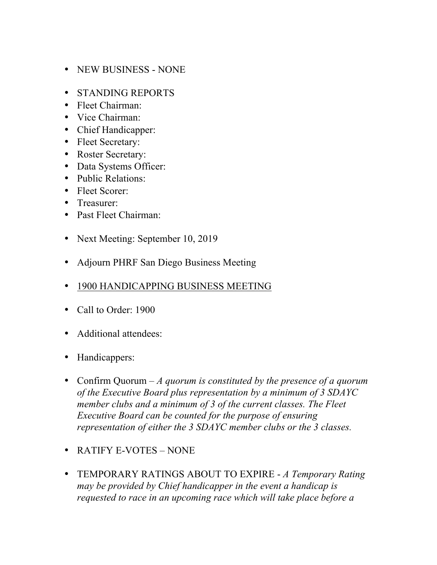- NEW BUSINESS NONE
- STANDING REPORTS
- Fleet Chairman:
- Vice Chairman:
- Chief Handicapper:
- Fleet Secretary:
- Roster Secretary:
- Data Systems Officer:
- Public Relations:
- Fleet Scorer:
- Treasurer:
- Past Fleet Chairman:
- Next Meeting: September 10, 2019
- Adjourn PHRF San Diego Business Meeting
- 1900 HANDICAPPING BUSINESS MEETING
- Call to Order: 1900
- Additional attendees:
- Handicappers:
- Confirm Quorum *A quorum is constituted by the presence of a quorum of the Executive Board plus representation by a minimum of 3 SDAYC member clubs and a minimum of 3 of the current classes. The Fleet Executive Board can be counted for the purpose of ensuring representation of either the 3 SDAYC member clubs or the 3 classes.*
- RATIFY E-VOTES NONE
- TEMPORARY RATINGS ABOUT TO EXPIRE *A Temporary Rating may be provided by Chief handicapper in the event a handicap is requested to race in an upcoming race which will take place before a*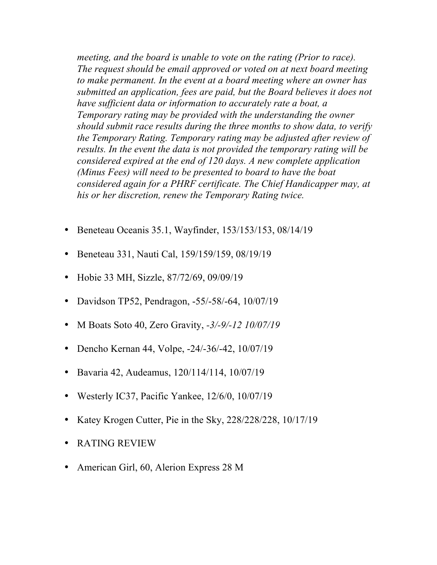*meeting, and the board is unable to vote on the rating (Prior to race). The request should be email approved or voted on at next board meeting to make permanent. In the event at a board meeting where an owner has submitted an application, fees are paid, but the Board believes it does not have sufficient data or information to accurately rate a boat, a Temporary rating may be provided with the understanding the owner should submit race results during the three months to show data, to verify the Temporary Rating. Temporary rating may be adjusted after review of results. In the event the data is not provided the temporary rating will be considered expired at the end of 120 days. A new complete application (Minus Fees) will need to be presented to board to have the boat considered again for a PHRF certificate. The Chief Handicapper may, at his or her discretion, renew the Temporary Rating twice.*

- Beneteau Oceanis 35.1, Wayfinder, 153/153/153, 08/14/19
- Beneteau 331, Nauti Cal, 159/159/159, 08/19/19
- Hobie 33 MH, Sizzle, 87/72/69, 09/09/19
- Davidson TP52, Pendragon, -55/-58/-64, 10/07/19
- M Boats Soto 40, Zero Gravity, *-3/-9/-12 10/07/19*
- Dencho Kernan 44, Volpe, -24/-36/-42, 10/07/19
- Bavaria 42, Audeamus, 120/114/114, 10/07/19
- Westerly IC37, Pacific Yankee, 12/6/0, 10/07/19
- Katey Krogen Cutter, Pie in the Sky, 228/228/228, 10/17/19
- RATING REVIEW
- American Girl, 60, Alerion Express 28 M